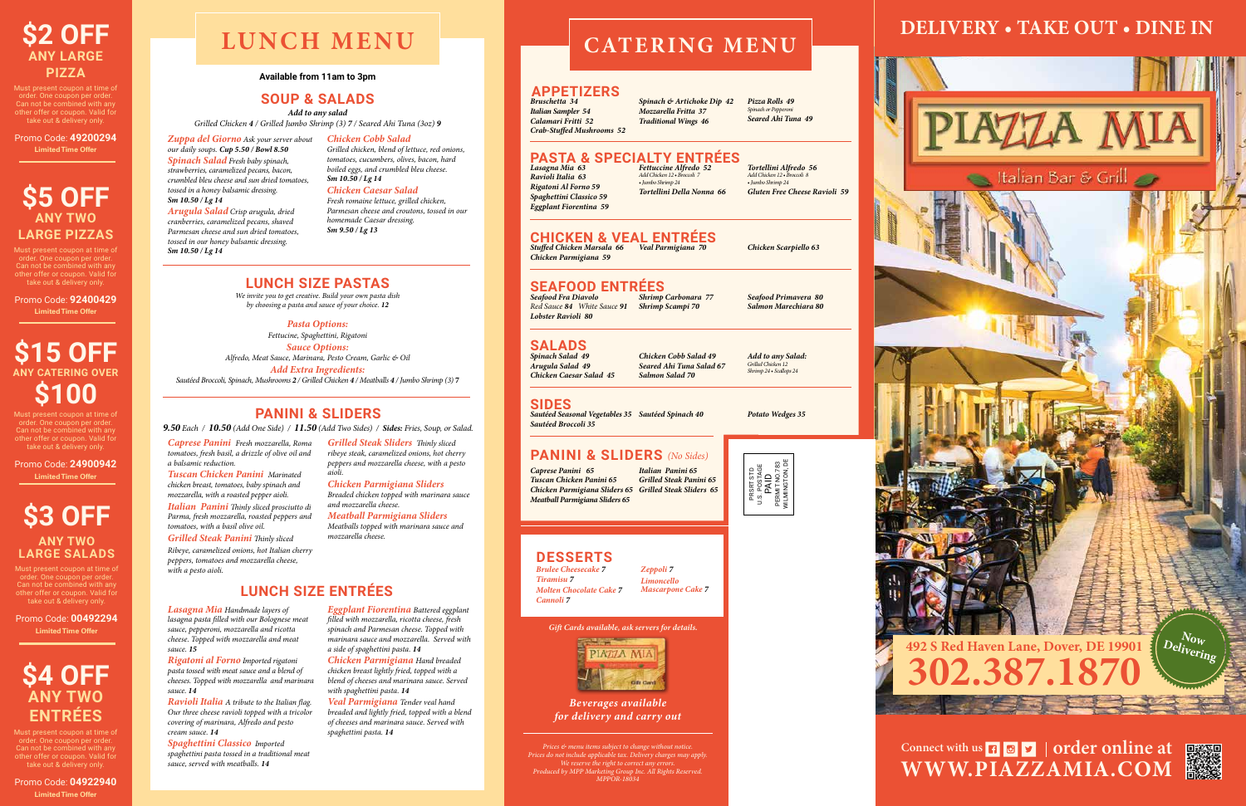#### **Available from 11am to 3pm**

*Add to any salad Grilled Chicken 4 / Grilled Jumbo Shrimp (3) 7 / Seared Ahi Tuna (3oz) 9*

> *We invite you to get creative. Build your own pasta dish by choosing a pasta and sauce of your choice. 12*

#### **SOUP & SALADS**

#### **LUNCH SIZE PASTAS**

*Pasta Options: Fettucine, Spaghettini, Rigatoni Sauce Options: Alfredo, Meat Sauce, Marinara, Pesto Cream, Garlic & Oil Add Extra Ingredients: Sautéed Broccoli, Spinach, Mushrooms 2 / Grilled Chicken 4 / Meatballs 4 / Jumbo Shrimp (3)* **7**

*Caprese Panini Fresh mozzarella, Roma tomatoes, fresh basil, a drizzle of olive oil and a balsamic reduction.* 

*Tuscan Chicken Panini Marinated chicken breast, tomatoes, baby spinach and mozzarella, with a roasted pepper aioli. Italian Panini Thinly sliced prosciutto di Parma, fresh mozzarella, roasted peppers and tomatoes, with a basil olive oil.* 

*Grilled Steak Panini Thinly sliced Ribeye, caramelized onions, hot Italian cherry* 

*peppers, tomatoes and mozzarella cheese, with a pesto aioli.* 

*Grilled Steak Sliders Thinly sliced ribeye steak, caramelized onions, hot cherry peppers and mozzarella cheese, with a pesto aioli.* 

*Chicken Parmigiana Sliders Breaded chicken topped with marinara sauce and mozzarella cheese. Meatball Parmigiana Sliders Meatballs topped with marinara sauce and mozzarella cheese.* 

*Zuppa del Giorno Ask your server about our daily soups. Cup 5.50 / Bowl 8.50 Spinach Salad Fresh baby spinach, strawberries, caramelized pecans, bacon, crumbled bleu cheese and sun dried tomatoes, tossed in a honey balsamic dressing. Sm 10.50 / Lg 14*

*Arugula Salad Crisp arugula, dried cranberries, caramelized pecans, shaved Parmesan cheese and sun dried tomatoes, tossed in our honey balsamic dressing. Sm 10.50 / Lg 14*

*Chicken Cobb Salad Grilled chicken, blend of lettuce, red onions, tomatoes, cucumbers, olives, bacon, hard boiled eggs, and crumbled bleu cheese. Sm 10.50 / Lg 14*

*Chicken Caesar Salad Fresh romaine lettuce, grilled chicken, Parmesan cheese and croutons, tossed in our homemade Caesar dressing. Sm 9.50 / Lg 13*

#### **PANINI & SLIDERS**

*9.50 Each / 10.50 (Add One Side) / 11.50 (Add Two Sides) / Sides: Fries, Soup, or Salad.*

*Lasagna Mia Handmade layers of lasagna pasta filled with our Bolognese meat sauce, pepperoni, mozzarella and ricotta cheese. Topped with mozzarella and meat sauce. 15*

> Connect with us **n o v order online at WWW.PIAZZAMIA.COM**



*Rigatoni al Forno Imported rigatoni pasta tossed with meat sauce and a blend of cheeses. Topped with mozzarella and marinara sauce. 14*

*Ravioli Italia A tribute to the Italian flag. Our three cheese ravioli topped with a tricolor covering of marinara, Alfredo and pesto cream sauce. 14*

*Spaghettini Classico Imported spaghettini pasta tossed in a traditional meat sauce, served with meatballs. 14*

*Eggplant Fiorentina Battered eggplant filled with mozzarella, ricotta cheese, fresh spinach and Parmesan cheese. Topped with marinara sauce and mozzarella. Served with a side of spaghettini pasta. 14*

*Chicken Parmigiana Hand breaded chicken breast lightly fried, topped with a blend of cheeses and marinara sauce. Served with spaghettini pasta. 14*

*Veal Parmigiana Tender veal hand breaded and lightly fried, topped with a blend of cheeses and marinara sauce. Served with spaghettini pasta. 14*

#### **LUNCH SIZE ENTRÉES**

# **LUNCH MENU**

*Ravioli Italia 63 Rigatoni Al Forno 59 Spaghettini Classico 59 Eggplant Fiorentina 59* *Add Chicken 12 • Broccoli 7 • Jumbo Shrimp 24*

# *Lasagna Mia 63 Fettuccine Alfredo 52* **PASTA & SPECIALTY ENTRÉES**

# *Tortellini Della Nonna 66*

*Tortellini Alfredo 56 Add Chicken 12 • Broccoli 8 • Jumbo Shrimp 24 Gluten Free Cheese Ravioli 59*

#### **PANINI & SLIDERS** *(No Sides)*

*Bruschetta 34 Italian Sampler 54 Calamari Fritti 52 Crab-Stuffed Mushrooms 52*

*Spinach & Artichoke Dip 42 Mozzarella Fritta 37 Traditional Wings 46*

*Pizza Rolls 49 inach or Pepp Seared Ahi Tuna 49*

#### **APPETIZERS**

*Chicken Parmigiana 59*

# *Stuffed Chicken Marsala 66 Veal Parmigiana 70 Chicken Scarpiello 63* **CHICKEN & VEAL ENTRÉES**

*Seafood Fra Diavolo Red Sauce 84 White Sauce 91 Shrimp Scampi 70 Lobster Ravioli 80*

#### *Shrimp Carbonara 77* **SEAFOOD ENTRÉES**

*Seafood Primavera 80 Salmon Marechiara 80*

*Sautéed Seasonal Vegetables 35 Sautéed Spinach 40 Potato Wedges 35 Sautéed Broccoli 35*

**SIDES**

*Spinach Salad 49 Arugula Salad 49 Chicken Caesar Salad 45*

*Chicken Cobb Salad 49 Seared Ahi Tuna Salad 67 Salmon Salad 70*

*Add to any Salad: Grilled Chicken 12 Shrimp 24 • Scallops 24*

#### **SALADS**

# **CATERING MENU**

# **DELIVERY • TAKE OUT • DINE IN**





Must present coupon at time of order. One coupon per order. Can not be combined with any other offer or coupon. Valid for take out & delivery only.

Promo Code: **49200294 Limited Time Offer**

## **\$5 OFF ANY TWO LARGE PIZZAS**

Must present coupon at time of order. One coupon per order. Can not be combined with any other offer or coupon. Valid for take out & delivery only.

Promo Code: **92400429 Limited Time Offer**

# **\$15 OFF ANY CATERING OVER \$100**

Must present coupon at time of order. One coupon per order. Can not be combined with any other offer or coupon. Valid for take out & delivery only.

Promo Code: **24900942 Limited Time Offer**

### **\$3 OFF ANY TWO LARGE SALADS**

Must present coupon at time of order. One coupon per order. Can not be combined with any other offer or coupon. Valid for take out & delivery only.

Promo Code: **00492294 Limited Time Offer**

# **\$4 OFF ANY TWO ENTRÉES**

Must present coupon at time of order. One coupon per order. Can not be combined with any other offer or coupon. Valid for take out & delivery only.

Promo Code: **04922940 Limited Time Offer**



*Gift Cards available, ask servers for details.*



*Prices & menu items subject to change without notice. Prices do not include applicable tax. Delivery charges may apply. We reserve the right to correct any errors. Produced by MPP Marketing Group Inc. All Rights Reserved. MPPOR-18034*





*Caprese Panini 65 Tuscan Chicken Panini 65 Chicken Parmigiana Sliders 65 Grilled Steak Sliders 65 Meatball Parmigiana Sliders 65 Italian Panini 65 Grilled Steak Panini 65*

#### **DESSERTS**

*Beverages available for delivery and carry out*

*Brulee Cheesecake 7 Tiramisu 7 Molten Chocolate Cake 7 Cannoli 7*

*Zeppoli 7 Limoncello Mascarpone Cake 7*